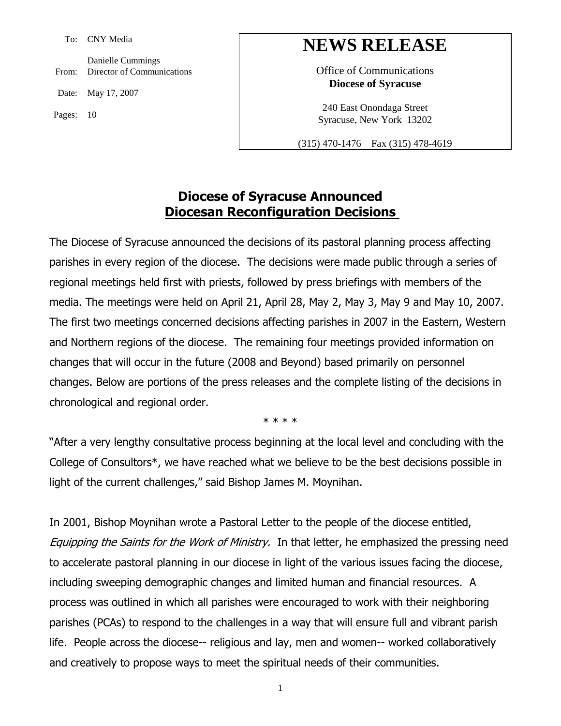To: CNY Media

From: Director of Communications Danielle Cummings

Date: May 17, 2007

Pages: 10

# **NEWS RELEASE**

Office of Communications **Diocese of Syracuse**

240 East Onondaga Street Syracuse, New York 13202

(315) 470-1476 Fax (315) 478-4619

### **Diocese of Syracuse Announced Diocesan Reconfiguration Decisions**

The Diocese of Syracuse announced the decisions of its pastoral planning process affecting parishes in every region of the diocese. The decisions were made public through a series of regional meetings held first with priests, followed by press briefings with members of the media. The meetings were held on April 21, April 28, May 2, May 3, May 9 and May 10, 2007. The first two meetings concerned decisions affecting parishes in 2007 in the Eastern, Western and Northern regions of the diocese. The remaining four meetings provided information on changes that will occur in the future (2008 and Beyond) based primarily on personnel changes. Below are portions of the press releases and the complete listing of the decisions in chronological and regional order.

\* \* \* \*

"After a very lengthy consultative process beginning at the local level and concluding with the College of Consultors\*, we have reached what we believe to be the best decisions possible in light of the current challenges," said Bishop James M. Moynihan.

In 2001, Bishop Moynihan wrote a Pastoral Letter to the people of the diocese entitled, Equipping the Saints for the Work of Ministry. In that letter, he emphasized the pressing need to accelerate pastoral planning in our diocese in light of the various issues facing the diocese, including sweeping demographic changes and limited human and financial resources. A process was outlined in which all parishes were encouraged to work with their neighboring parishes (PCAs) to respond to the challenges in a way that will ensure full and vibrant parish life. People across the diocese-- religious and lay, men and women-- worked collaboratively and creatively to propose ways to meet the spiritual needs of their communities.

1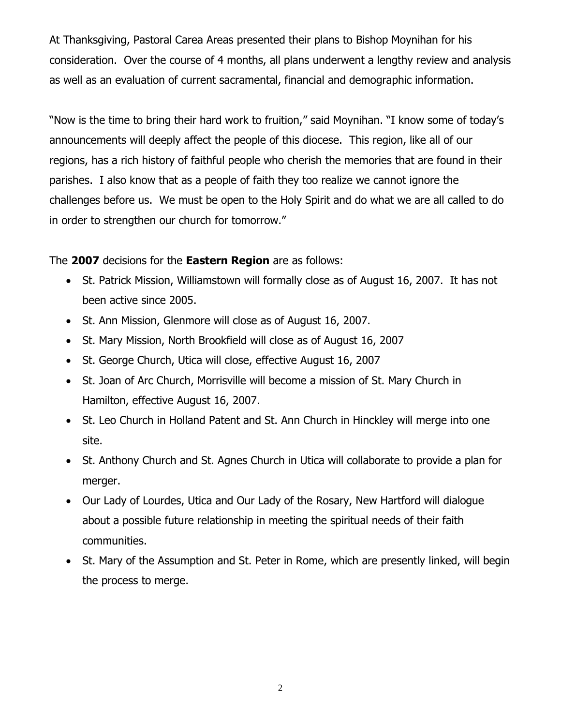At Thanksgiving, Pastoral Carea Areas presented their plans to Bishop Moynihan for his consideration. Over the course of 4 months, all plans underwent a lengthy review and analysis as well as an evaluation of current sacramental, financial and demographic information.

"Now is the time to bring their hard work to fruition," said Moynihan. "I know some of today's announcements will deeply affect the people of this diocese. This region, like all of our regions, has a rich history of faithful people who cherish the memories that are found in their parishes. I also know that as a people of faith they too realize we cannot ignore the challenges before us. We must be open to the Holy Spirit and do what we are all called to do in order to strengthen our church for tomorrow."

The **2007** decisions for the **Eastern Region** are as follows:

- St. Patrick Mission, Williamstown will formally close as of August 16, 2007. It has not been active since 2005.
- St. Ann Mission, Glenmore will close as of August 16, 2007.
- St. Mary Mission, North Brookfield will close as of August 16, 2007
- St. George Church, Utica will close, effective August 16, 2007
- St. Joan of Arc Church, Morrisville will become a mission of St. Mary Church in Hamilton, effective August 16, 2007.
- St. Leo Church in Holland Patent and St. Ann Church in Hinckley will merge into one site.
- St. Anthony Church and St. Agnes Church in Utica will collaborate to provide a plan for merger.
- Our Lady of Lourdes, Utica and Our Lady of the Rosary, New Hartford will dialogue about a possible future relationship in meeting the spiritual needs of their faith communities.
- St. Mary of the Assumption and St. Peter in Rome, which are presently linked, will begin the process to merge.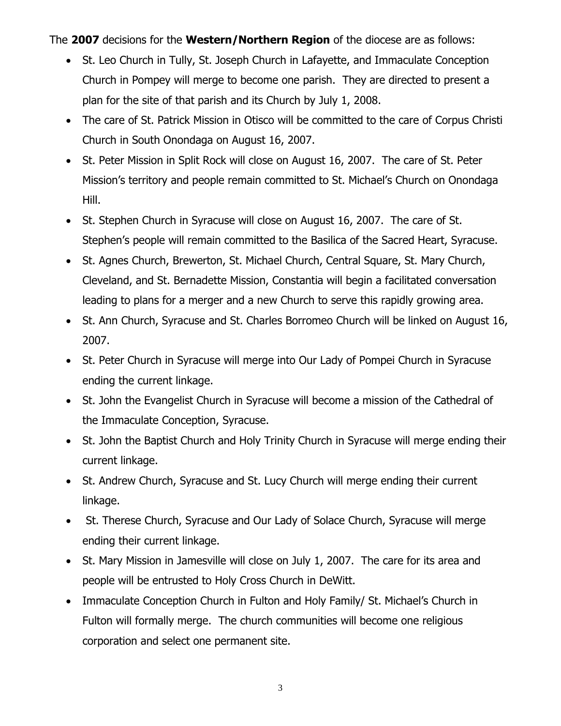The **2007** decisions for the **Western/Northern Region** of the diocese are as follows:

- St. Leo Church in Tully, St. Joseph Church in Lafayette, and Immaculate Conception Church in Pompey will merge to become one parish. They are directed to present a plan for the site of that parish and its Church by July 1, 2008.
- The care of St. Patrick Mission in Otisco will be committed to the care of Corpus Christi Church in South Onondaga on August 16, 2007.
- St. Peter Mission in Split Rock will close on August 16, 2007. The care of St. Peter Mission's territory and people remain committed to St. Michael's Church on Onondaga Hill.
- St. Stephen Church in Syracuse will close on August 16, 2007. The care of St. Stephen's people will remain committed to the Basilica of the Sacred Heart, Syracuse.
- St. Agnes Church, Brewerton, St. Michael Church, Central Square, St. Mary Church, Cleveland, and St. Bernadette Mission, Constantia will begin a facilitated conversation leading to plans for a merger and a new Church to serve this rapidly growing area.
- St. Ann Church, Syracuse and St. Charles Borromeo Church will be linked on August 16, 2007.
- St. Peter Church in Syracuse will merge into Our Lady of Pompei Church in Syracuse ending the current linkage.
- St. John the Evangelist Church in Syracuse will become a mission of the Cathedral of the Immaculate Conception, Syracuse.
- St. John the Baptist Church and Holy Trinity Church in Syracuse will merge ending their current linkage.
- St. Andrew Church, Syracuse and St. Lucy Church will merge ending their current linkage.
- St. Therese Church, Syracuse and Our Lady of Solace Church, Syracuse will merge ending their current linkage.
- St. Mary Mission in Jamesville will close on July 1, 2007. The care for its area and people will be entrusted to Holy Cross Church in DeWitt.
- Immaculate Conception Church in Fulton and Holy Family/ St. Michael's Church in Fulton will formally merge. The church communities will become one religious corporation and select one permanent site.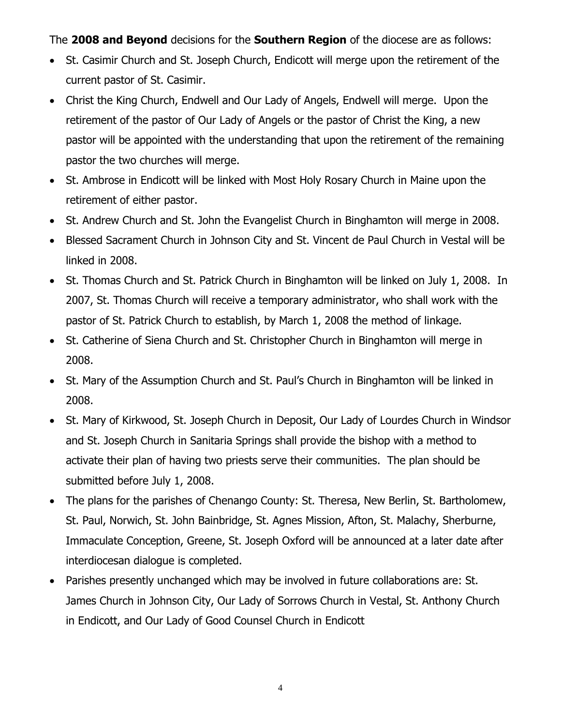The **2008 and Beyond** decisions for the **Southern Region** of the diocese are as follows:

- St. Casimir Church and St. Joseph Church, Endicott will merge upon the retirement of the current pastor of St. Casimir.
- Christ the King Church, Endwell and Our Lady of Angels, Endwell will merge. Upon the retirement of the pastor of Our Lady of Angels or the pastor of Christ the King, a new pastor will be appointed with the understanding that upon the retirement of the remaining pastor the two churches will merge.
- St. Ambrose in Endicott will be linked with Most Holy Rosary Church in Maine upon the retirement of either pastor.
- St. Andrew Church and St. John the Evangelist Church in Binghamton will merge in 2008.
- Blessed Sacrament Church in Johnson City and St. Vincent de Paul Church in Vestal will be linked in 2008.
- St. Thomas Church and St. Patrick Church in Binghamton will be linked on July 1, 2008. In 2007, St. Thomas Church will receive a temporary administrator, who shall work with the pastor of St. Patrick Church to establish, by March 1, 2008 the method of linkage.
- St. Catherine of Siena Church and St. Christopher Church in Binghamton will merge in 2008.
- St. Mary of the Assumption Church and St. Paul's Church in Binghamton will be linked in 2008.
- St. Mary of Kirkwood, St. Joseph Church in Deposit, Our Lady of Lourdes Church in Windsor and St. Joseph Church in Sanitaria Springs shall provide the bishop with a method to activate their plan of having two priests serve their communities. The plan should be submitted before July 1, 2008.
- The plans for the parishes of Chenango County: St. Theresa, New Berlin, St. Bartholomew, St. Paul, Norwich, St. John Bainbridge, St. Agnes Mission, Afton, St. Malachy, Sherburne, Immaculate Conception, Greene, St. Joseph Oxford will be announced at a later date after interdiocesan dialogue is completed.
- Parishes presently unchanged which may be involved in future collaborations are: St. James Church in Johnson City, Our Lady of Sorrows Church in Vestal, St. Anthony Church in Endicott, and Our Lady of Good Counsel Church in Endicott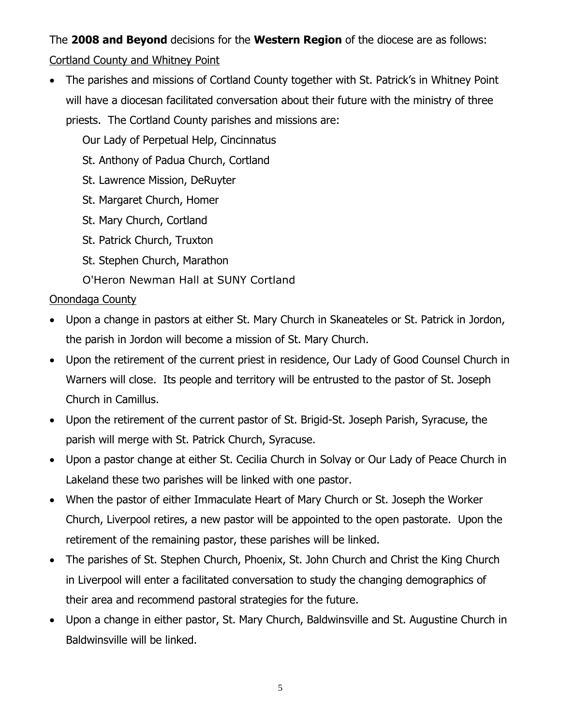# The **2008 and Beyond** decisions for the **Western Region** of the diocese are as follows: Cortland County and Whitney Point

• The parishes and missions of Cortland County together with St. Patrick's in Whitney Point will have a diocesan facilitated conversation about their future with the ministry of three

priests. The Cortland County parishes and missions are:

Our Lady of Perpetual Help, Cincinnatus

St. Anthony of Padua Church, Cortland

- St. Lawrence Mission, DeRuyter
- St. Margaret Church, Homer
- St. Mary Church, Cortland
- St. Patrick Church, Truxton
- St. Stephen Church, Marathon
- O'Heron Newman Hall at SUNY Cortland

## Onondaga County

- Upon a change in pastors at either St. Mary Church in Skaneateles or St. Patrick in Jordon, the parish in Jordon will become a mission of St. Mary Church.
- Upon the retirement of the current priest in residence, Our Lady of Good Counsel Church in Warners will close. Its people and territory will be entrusted to the pastor of St. Joseph Church in Camillus.
- Upon the retirement of the current pastor of St. Brigid-St. Joseph Parish, Syracuse, the parish will merge with St. Patrick Church, Syracuse.
- Upon a pastor change at either St. Cecilia Church in Solvay or Our Lady of Peace Church in Lakeland these two parishes will be linked with one pastor.
- When the pastor of either Immaculate Heart of Mary Church or St. Joseph the Worker Church, Liverpool retires, a new pastor will be appointed to the open pastorate. Upon the retirement of the remaining pastor, these parishes will be linked.
- The parishes of St. Stephen Church, Phoenix, St. John Church and Christ the King Church in Liverpool will enter a facilitated conversation to study the changing demographics of their area and recommend pastoral strategies for the future.
- Upon a change in either pastor, St. Mary Church, Baldwinsville and St. Augustine Church in Baldwinsville will be linked.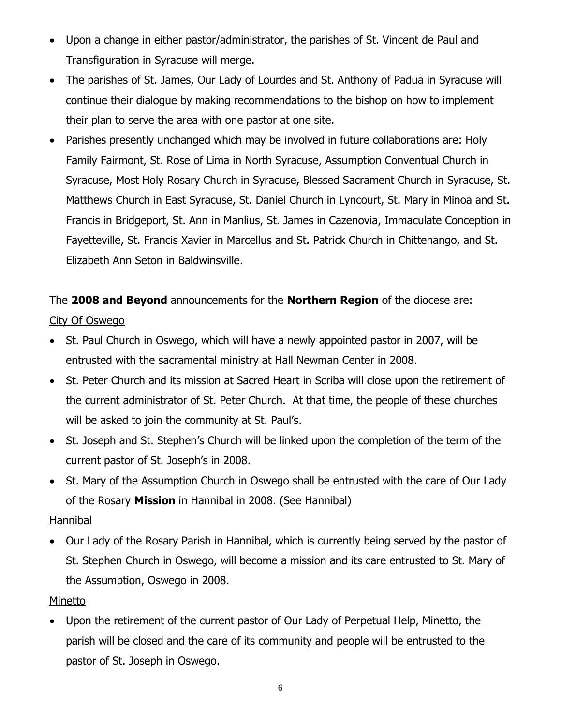- Upon a change in either pastor/administrator, the parishes of St. Vincent de Paul and Transfiguration in Syracuse will merge.
- The parishes of St. James, Our Lady of Lourdes and St. Anthony of Padua in Syracuse will continue their dialogue by making recommendations to the bishop on how to implement their plan to serve the area with one pastor at one site.
- Parishes presently unchanged which may be involved in future collaborations are: Holy Family Fairmont, St. Rose of Lima in North Syracuse, Assumption Conventual Church in Syracuse, Most Holy Rosary Church in Syracuse, Blessed Sacrament Church in Syracuse, St. Matthews Church in East Syracuse, St. Daniel Church in Lyncourt, St. Mary in Minoa and St. Francis in Bridgeport, St. Ann in Manlius, St. James in Cazenovia, Immaculate Conception in Fayetteville, St. Francis Xavier in Marcellus and St. Patrick Church in Chittenango, and St. Elizabeth Ann Seton in Baldwinsville.

# The **2008 and Beyond** announcements for the **Northern Region** of the diocese are: City Of Oswego

- St. Paul Church in Oswego, which will have a newly appointed pastor in 2007, will be entrusted with the sacramental ministry at Hall Newman Center in 2008.
- St. Peter Church and its mission at Sacred Heart in Scriba will close upon the retirement of the current administrator of St. Peter Church. At that time, the people of these churches will be asked to join the community at St. Paul's.
- St. Joseph and St. Stephen's Church will be linked upon the completion of the term of the current pastor of St. Joseph's in 2008.
- St. Mary of the Assumption Church in Oswego shall be entrusted with the care of Our Lady of the Rosary **Mission** in Hannibal in 2008. (See Hannibal)

#### Hannibal

 Our Lady of the Rosary Parish in Hannibal, which is currently being served by the pastor of St. Stephen Church in Oswego, will become a mission and its care entrusted to St. Mary of the Assumption, Oswego in 2008.

#### Minetto

 Upon the retirement of the current pastor of Our Lady of Perpetual Help, Minetto, the parish will be closed and the care of its community and people will be entrusted to the pastor of St. Joseph in Oswego.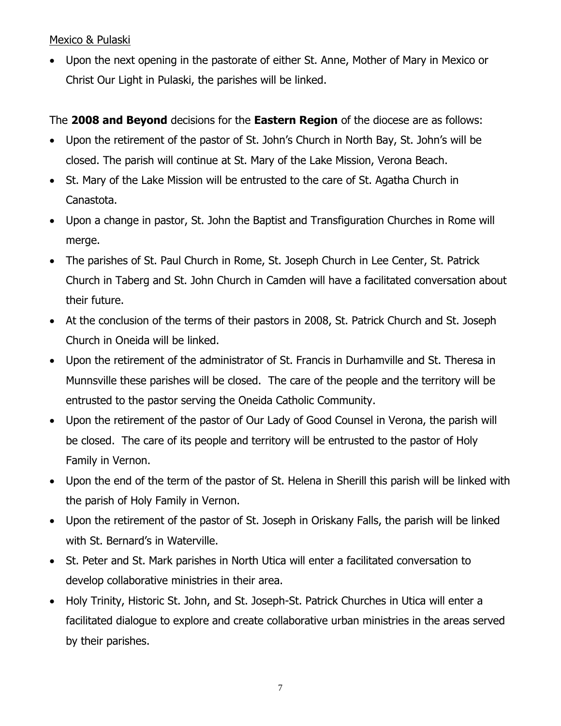Mexico & Pulaski

 Upon the next opening in the pastorate of either St. Anne, Mother of Mary in Mexico or Christ Our Light in Pulaski, the parishes will be linked.

### The **2008 and Beyond** decisions for the **Eastern Region** of the diocese are as follows:

- Upon the retirement of the pastor of St. John's Church in North Bay, St. John's will be closed. The parish will continue at St. Mary of the Lake Mission, Verona Beach.
- St. Mary of the Lake Mission will be entrusted to the care of St. Agatha Church in Canastota.
- Upon a change in pastor, St. John the Baptist and Transfiguration Churches in Rome will merge.
- The parishes of St. Paul Church in Rome, St. Joseph Church in Lee Center, St. Patrick Church in Taberg and St. John Church in Camden will have a facilitated conversation about their future.
- At the conclusion of the terms of their pastors in 2008, St. Patrick Church and St. Joseph Church in Oneida will be linked.
- Upon the retirement of the administrator of St. Francis in Durhamville and St. Theresa in Munnsville these parishes will be closed. The care of the people and the territory will be entrusted to the pastor serving the Oneida Catholic Community.
- Upon the retirement of the pastor of Our Lady of Good Counsel in Verona, the parish will be closed. The care of its people and territory will be entrusted to the pastor of Holy Family in Vernon.
- Upon the end of the term of the pastor of St. Helena in Sherill this parish will be linked with the parish of Holy Family in Vernon.
- Upon the retirement of the pastor of St. Joseph in Oriskany Falls, the parish will be linked with St. Bernard's in Waterville.
- St. Peter and St. Mark parishes in North Utica will enter a facilitated conversation to develop collaborative ministries in their area.
- Holy Trinity, Historic St. John, and St. Joseph-St. Patrick Churches in Utica will enter a facilitated dialogue to explore and create collaborative urban ministries in the areas served by their parishes.